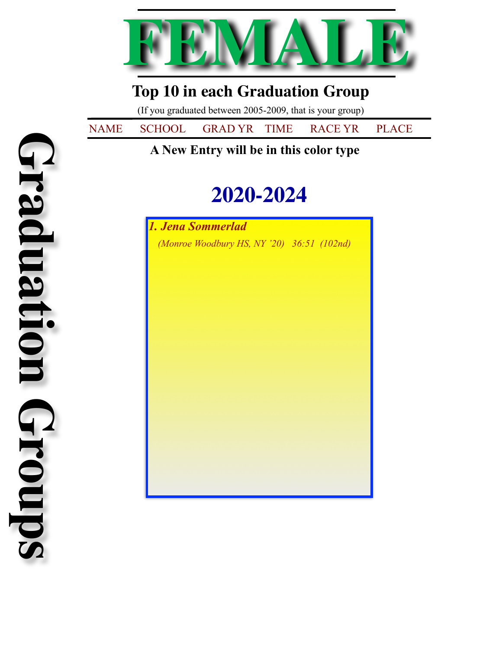

## **Top 10 in each Graduation Group**

(If you graduated between 2005-2009, that is your group)

NAME SCHOOL GRAD YR TIME RACE YR PLACE

## **2020-2024**

*1. Jena Sommerlad (Monroe Woodbury HS, NY '20) 36:51 (102nd)*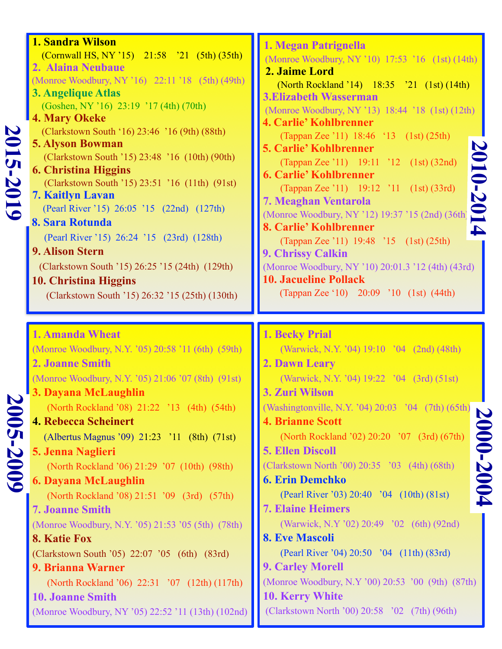| 2015-7<br>5019 | <b>1. Sandra Wilson</b><br>(Cornwall HS, NY '15) 21:58 '21 (5th) (35th)<br>2. Alaina Neubaue<br>(Monroe Woodbury, NY '16) 22:11 '18 (5th) (49th)<br>3. Angelique Atlas<br>(Goshen, NY '16) 23:19 '17 (4th) (70th)<br><b>4. Mary Okeke</b><br>(Clarkstown South '16) 23:46 '16 (9th) (88th)<br><b>5. Alyson Bowman</b><br>(Clarkstown South '15) 23:48 '16 (10th) (90th)<br><b>6. Christina Higgins</b><br>(Clarkstown South '15) 23:51 '16 (11th) (91st)<br><b>7. Kaitlyn Lavan</b><br>(Pearl River '15) 26:05 '15 (22nd) (127th)<br>8. Sara Rotunda<br>(Pearl River '15) 26:24 '15 (23rd) (128th)<br><b>9. Alison Stern</b><br>(Clarkstown South '15) 26:25 '15 (24th) (129th)<br><b>10. Christina Higgins</b><br>(Clarkstown South '15) 26:32 '15 (25th) (130th)            | 1. Megan Patrignella<br>(Monroe Woodbury, NY '10) 17:53 '16 (1st) (14th)<br>2. Jaime Lord<br>(North Rockland '14) 18:35 '21 (1st) (14th)<br><b>3.Elizabeth Wasserman</b><br>(Monroe Woodbury, NY '13) 18:44 '18 (1st) (12th)<br><b>4. Carlie' Kohlbrenner</b><br>(Tappan Zee '11) 18:46 '13 (1st) (25th)<br>2010-2014<br><b>5. Carlie' Kohlbrenner</b><br>(Tappan Zee '11) 19:11 '12 (1st) (32nd)<br><b>6. Carlie' Kohlbrenner</b><br>(Tappan Zee '11) 19:12 '11 (1st) (33rd)<br><b>7. Meaghan Ventarola</b><br>(Monroe Woodbury, NY '12) 19:37 '15 (2nd) (36th)<br>8. Carlie' Kohlbrenner<br>(Tappan Zee '11) 19:48 '15 (1st) (25th)<br><b>9. Chrissy Calkin</b><br>(Monroe Woodbury, NY '10) 20:01.3 '12 (4th) (43rd)<br><b>10. Jacueline Pollack</b><br>(Tappan Zee '10) 20:09 '10 (1st) (44th) |
|----------------|-------------------------------------------------------------------------------------------------------------------------------------------------------------------------------------------------------------------------------------------------------------------------------------------------------------------------------------------------------------------------------------------------------------------------------------------------------------------------------------------------------------------------------------------------------------------------------------------------------------------------------------------------------------------------------------------------------------------------------------------------------------------------------|----------------------------------------------------------------------------------------------------------------------------------------------------------------------------------------------------------------------------------------------------------------------------------------------------------------------------------------------------------------------------------------------------------------------------------------------------------------------------------------------------------------------------------------------------------------------------------------------------------------------------------------------------------------------------------------------------------------------------------------------------------------------------------------------------|
| 2005-2009      | <b>1. Amanda Wheat</b><br>(Monroe Woodbury, N.Y. '05) 20:58 '11 (6th) (59th)<br><b>2. Joanne Smith</b><br>(Monroe Woodbury, N.Y. '05) 21:06 '07 (8th) (91st)<br>3. Dayana McLaughlin<br>(North Rockland '08) 21:22 '13 (4th) (54th)<br><b>4. Rebecca Scheinert</b><br>(Albertus Magnus '09) 21:23 '11 (8th) (71st)<br>5. Jenna Naglieri<br>(North Rockland '06) 21:29 '07 (10th) (98th)<br><b>6. Dayana McLaughlin</b><br>(North Rockland '08) 21:51 '09 (3rd) (57th)<br><b>7. Joanne Smith</b><br>(Monroe Woodbury, N.Y. '05) 21:53 '05 (5th) (78th)<br>8. Katie Fox<br>(Clarkstown South '05) 22:07 '05 (6th) (83rd)<br>9. Brianna Warner<br>(North Rockland '06) 22:31 '07 (12th) (117th)<br><b>10. Joanne Smith</b><br>(Monroe Woodbury, NY '05) 22:52 '11 (13th) (102nd) | <b>1. Becky Prial</b><br>(Warwick, N.Y. '04) 19:10 '04 (2nd) (48th)<br>2. Dawn Leary<br>(Warwick, N.Y. '04) 19:22 '04 (3rd) (51st)<br>3. Zuri Wilson<br>(Washingtonville, N.Y. '04) 20:03 '04 (7th) (65th)<br>$\boldsymbol{\mathsf{D}}$<br><b>4. Brianne Scott</b><br>000-2004<br>(North Rockland '02) 20:20 '07 (3rd) (67th)<br><b>5. Ellen Discoll</b><br>(Clarkstown North '00) 20:35 '03 (4th) (68th)<br><b>6. Erin Demchko</b><br>(Pearl River '03) 20:40 '04 (10th) (81st)<br><b>7. Elaine Heimers</b><br>(Warwick, N.Y '02) 20:49 '02 (6th) (92nd)<br><b>8. Eve Mascoli</b><br>(Pearl River '04) 20:50 '04 (11th) (83rd)<br><b>9. Carley Morell</b><br>(Monroe Woodbury, N.Y '00) 20:53 '00 (9th) (87th)<br>10. Kerry White<br>(Clarkstown North '00) 20:58 '02 (7th) (96th)                |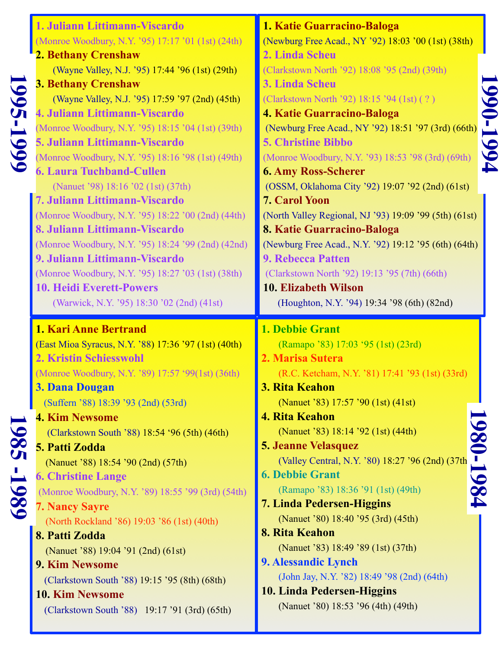| 366<br><b>6661-</b> | 1. Juliann Littimann-Viscardo<br>(Monroe Woodbury, N.Y. '95) 17:17 '01 (1st) (24th)<br><b>2. Bethany Crenshaw</b><br>(Wayne Valley, N.J. '95) 17:44 '96 (1st) (29th)<br><b>3. Bethany Crenshaw</b><br>(Wayne Valley, N.J. '95) 17:59 '97 (2nd) (45th)<br>4. Juliann Littimann-Viscardo<br>(Monroe Woodbury, N.Y. '95) 18:15 '04 (1st) (39th)<br><b>5. Juliann Littimann-Viscardo</b><br>(Monroe Woodbury, N.Y. '95) 18:16 '98 (1st) (49th)<br><b>6. Laura Tuchband-Cullen</b><br>(Nanuet '98) 18:16 '02 (1st) (37th)<br>7. Juliann Littimann-Viscardo<br>(Monroe Woodbury, N.Y. '95) 18:22 '00 (2nd) (44th)<br>8. Juliann Littimann-Viscardo<br>(Monroe Woodbury, N.Y. '95) 18:24 '99 (2nd) (42nd)<br>9. Juliann Littimann-Viscardo<br>(Monroe Woodbury, N.Y. '95) 18:27 '03 (1st) (38th)<br><b>10. Heidi Everett-Powers</b><br>(Warwick, N.Y. '95) 18:30 '02 (2nd) (41st) | 1. Katie Guarracino-Baloga<br>(Newburg Free Acad., NY '92) 18:03 '00 (1st) (38th)<br>2. Linda Scheu<br>(Clarkstown North '92) 18:08 '95 (2nd) (39th)<br>3. Linda Scheu<br>066<br>(Clarkstown North '92) 18:15 '94 (1st) (?)<br><b>4. Katie Guarracino-Baloga</b><br>-1994<br>(Newburg Free Acad., NY '92) 18:51 '97 (3rd) (66th)<br><b>5. Christine Bibbo</b><br>(Monroe Woodbury, N.Y. '93) 18:53 '98 (3rd) (69th)<br><b>6. Amy Ross-Scherer</b><br>(OSSM, Oklahoma City '92) 19:07 '92 (2nd) (61st)<br><b>7. Carol Yoon</b><br>(North Valley Regional, NJ '93) 19:09 '99 (5th) (61st)<br>8. Katie Guarracino-Baloga<br>(Newburg Free Acad., N.Y. '92) 19:12 '95 (6th) (64th)<br><b>9. Rebecca Patten</b><br>(Clarkstown North '92) 19:13 '95 (7th) (66th)<br><b>10. Elizabeth Wilson</b><br>(Houghton, N.Y. '94) 19:34 '98 (6th) (82nd) |
|---------------------|----------------------------------------------------------------------------------------------------------------------------------------------------------------------------------------------------------------------------------------------------------------------------------------------------------------------------------------------------------------------------------------------------------------------------------------------------------------------------------------------------------------------------------------------------------------------------------------------------------------------------------------------------------------------------------------------------------------------------------------------------------------------------------------------------------------------------------------------------------------------------|-------------------------------------------------------------------------------------------------------------------------------------------------------------------------------------------------------------------------------------------------------------------------------------------------------------------------------------------------------------------------------------------------------------------------------------------------------------------------------------------------------------------------------------------------------------------------------------------------------------------------------------------------------------------------------------------------------------------------------------------------------------------------------------------------------------------------------------------|
| 586<br>86           | 1. Kari Anne Bertrand<br>(East Mioa Syracus, N.Y. '88) 17:36 '97 (1st) (40th)<br><b>2. Kristin Schiesswohl</b><br>(Monroe Woodbury, N.Y. '89) 17:57 '99(1st) (36th)<br>3. Dana Dougan<br>(Suffern '88) 18:39 '93 (2nd) (53rd)<br><b>4. Kim Newsome</b><br>(Clarkstown South '88) 18:54 '96 (5th) (46th)<br>5. Patti Zodda<br>(Nanuet '88) 18:54 '90 (2nd) (57th)<br><b>6. Christine Lange</b><br>(Monroe Woodbury, N.Y. '89) 18:55 '99 (3rd) (54th)<br><b>7. Nancy Sayre</b><br>(North Rockland '86) 19:03 '86 (1st) (40th)<br>8. Patti Zodda<br>(Nanuet '88) 19:04 '91 (2nd) (61st)<br>9. Kim Newsome<br>(Clarkstown South '88) 19:15 '95 (8th) (68th)<br>10. Kim Newsome<br>(Clarkstown South '88) 19:17 '91 (3rd) (65th)                                                                                                                                                | 1. Debbie Grant<br>(Ramapo '83) 17:03 '95 (1st) (23rd)<br>2. Marisa Sutera<br>(R.C. Ketcham, N.Y. '81) 17:41 '93 (1st) (33rd)<br>3. Rita Keahon<br>(Nanuet '83) 17:57 '90 (1st) (41st)<br>4. Rita Keahon<br>980-1984<br>(Nanuet '83) 18:14 '92 (1st) (44th)<br><b>5. Jeanne Velasquez</b><br>(Valley Central, N.Y. '80) 18:27 '96 (2nd) (37th<br><b>6. Debbie Grant</b><br>(Ramapo '83) 18:36 '91 (1st) (49th)<br><b>7. Linda Pedersen-Higgins</b><br>(Nanuet '80) 18:40 '95 (3rd) (45th)<br>8. Rita Keahon<br>(Nanuet '83) 18:49 '89 (1st) (37th)<br>9. Alessandic Lynch<br>(John Jay, N.Y. '82) 18:49 '98 (2nd) (64th)<br>10. Linda Pedersen-Higgins<br>(Nanuet '80) 18:53 '96 (4th) (49th)                                                                                                                                             |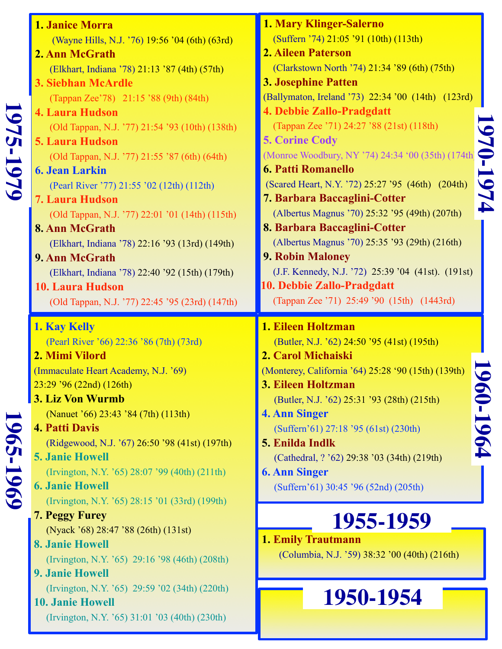|           | 1. Janice Morra                                                                                                                                                                                                                                                                                 | <b>1. Mary Klinger-Salerno</b>                                                                                                                                                                                                                                                                                            |
|-----------|-------------------------------------------------------------------------------------------------------------------------------------------------------------------------------------------------------------------------------------------------------------------------------------------------|---------------------------------------------------------------------------------------------------------------------------------------------------------------------------------------------------------------------------------------------------------------------------------------------------------------------------|
|           |                                                                                                                                                                                                                                                                                                 | (Suffern '74) 21:05 '91 (10th) (113th)                                                                                                                                                                                                                                                                                    |
|           | (Wayne Hills, N.J. '76) 19:56 '04 (6th) (63rd)                                                                                                                                                                                                                                                  | <b>2. Aileen Paterson</b>                                                                                                                                                                                                                                                                                                 |
|           | 2. Ann McGrath                                                                                                                                                                                                                                                                                  |                                                                                                                                                                                                                                                                                                                           |
|           | (Elkhart, Indiana '78) 21:13 '87 (4th) (57th)                                                                                                                                                                                                                                                   | (Clarkstown North '74) 21:34 '89 (6th) (75th)                                                                                                                                                                                                                                                                             |
|           | 3. Siebhan McArdle                                                                                                                                                                                                                                                                              | <b>3. Josephine Patten</b>                                                                                                                                                                                                                                                                                                |
|           | (Tappan Zee'78) 21:15 '88 (9th) (84th)                                                                                                                                                                                                                                                          | (Ballymaton, Ireland '73) 22:34 '00 (14th) (123rd)                                                                                                                                                                                                                                                                        |
|           | <b>4. Laura Hudson</b>                                                                                                                                                                                                                                                                          | 4. Debbie Zallo-Pradgdatt                                                                                                                                                                                                                                                                                                 |
|           | (Old Tappan, N.J. '77) 21:54 '93 (10th) (138th)                                                                                                                                                                                                                                                 | (Tappan Zee '71) 24:27 '88 (21st) (118th)                                                                                                                                                                                                                                                                                 |
| 1975-1979 | <b>5. Laura Hudson</b>                                                                                                                                                                                                                                                                          | <b>5. Corine Cody</b>                                                                                                                                                                                                                                                                                                     |
|           | (Old Tappan, N.J. '77) 21:55 '87 (6th) (64th)                                                                                                                                                                                                                                                   | $\bullet$<br>(Monroe Woodbury, NY '74) 24:34 '00 (35th) (174th                                                                                                                                                                                                                                                            |
|           | <b>6. Jean Larkin</b>                                                                                                                                                                                                                                                                           | <b>6. Patti Romanello</b>                                                                                                                                                                                                                                                                                                 |
|           | (Pearl River '77) 21:55 '02 (12th) (112th)                                                                                                                                                                                                                                                      | 974<br>(Scared Heart, N.Y. '72) 25:27 '95 (46th) (204th)                                                                                                                                                                                                                                                                  |
|           | <b>7. Laura Hudson</b>                                                                                                                                                                                                                                                                          | 7. Barbara Baccaglini-Cotter                                                                                                                                                                                                                                                                                              |
|           | (Old Tappan, N.J. '77) 22:01 '01 (14th) (115th)                                                                                                                                                                                                                                                 | (Albertus Magnus '70) 25:32 '95 (49th) (207th)                                                                                                                                                                                                                                                                            |
|           | 8. Ann McGrath                                                                                                                                                                                                                                                                                  | 8. Barbara Baccaglini-Cotter                                                                                                                                                                                                                                                                                              |
|           | (Elkhart, Indiana '78) 22:16 '93 (13rd) (149th)                                                                                                                                                                                                                                                 | (Albertus Magnus '70) 25:35 '93 (29th) (216th)                                                                                                                                                                                                                                                                            |
|           | 9. Ann McGrath                                                                                                                                                                                                                                                                                  | <b>9. Robin Maloney</b>                                                                                                                                                                                                                                                                                                   |
|           | (Elkhart, Indiana '78) 22:40 '92 (15th) (179th)                                                                                                                                                                                                                                                 | (J.F. Kennedy, N.J. '72) 25:39 '04 (41st). (191st)                                                                                                                                                                                                                                                                        |
|           | <b>10. Laura Hudson</b>                                                                                                                                                                                                                                                                         | 10. Debbie Zallo-Pradgdatt                                                                                                                                                                                                                                                                                                |
|           | (Old Tappan, N.J. '77) 22:45 '95 (23rd) (147th)                                                                                                                                                                                                                                                 | (Tappan Zee '71) 25:49 '90 (15th) (1443rd)                                                                                                                                                                                                                                                                                |
|           | 1. Kay Kelly                                                                                                                                                                                                                                                                                    | 1. Eileen Holtzman                                                                                                                                                                                                                                                                                                        |
|           | (Pearl River '66) 22:36 '86 (7th) (73rd)<br>2. Mimi Vilord<br>(Immaculate Heart Academy, N.J. '69)<br>23:29 '96 (22nd) (126th)<br>3. Liz Von Wurmb<br>(Nanuet '66) 23:43 '84 (7th) (113th)<br><b>4. Patti Davis</b><br>(Ridgewood, N.J. '67) 26:50 '98 (41st) (197th)<br><b>5. Janie Howell</b> | (Butler, N.J. '62) 24:50 '95 (41st) (195th)<br>2. Carol Michaiski<br>(Monterey, California '64) 25:28 '90 (15th) (139th)<br>3. Eileen Holtzman<br>(Butler, N.J. '62) 25:31 '93 (28th) (215th)<br>4. Ann Singer<br>(Suffern'61) 27:18 '95 (61st) (230th)<br>5. Enilda Indlk<br>(Cathedral, ? '62) 29:38 '03 (34th) (219th) |
|           | (Irvington, N.Y. '65) 28:07 '99 (40th) (211th)                                                                                                                                                                                                                                                  | <b>6. Ann Singer</b>                                                                                                                                                                                                                                                                                                      |
|           | <b>6. Janie Howell</b>                                                                                                                                                                                                                                                                          | (Suffern'61) 30:45 '96 (52nd) (205th)                                                                                                                                                                                                                                                                                     |
| 1965-1969 | (Irvington, N.Y. '65) 28:15 '01 (33rd) (199th)                                                                                                                                                                                                                                                  |                                                                                                                                                                                                                                                                                                                           |
|           | 7. Peggy Furey                                                                                                                                                                                                                                                                                  | 1955-1959                                                                                                                                                                                                                                                                                                                 |
|           | (Nyack '68) 28:47 '88 (26th) (131st)                                                                                                                                                                                                                                                            | <b>1. Emily Trautmann</b>                                                                                                                                                                                                                                                                                                 |
|           | <b>8. Janie Howell</b>                                                                                                                                                                                                                                                                          | (Columbia, N.J. '59) 38:32 '00 (40th) (216th)                                                                                                                                                                                                                                                                             |
|           | (Irvington, N.Y. '65) 29:16 '98 (46th) (208th)                                                                                                                                                                                                                                                  |                                                                                                                                                                                                                                                                                                                           |
|           | <b>9. Janie Howell</b>                                                                                                                                                                                                                                                                          |                                                                                                                                                                                                                                                                                                                           |
|           | (Irvington, N.Y. '65) 29:59 '02 (34th) (220th)                                                                                                                                                                                                                                                  |                                                                                                                                                                                                                                                                                                                           |
|           | <b>10. Janie Howell</b><br>(Irvington, N.Y. '65) 31:01 '03 (40th) (230th)                                                                                                                                                                                                                       | 60-1964<br>1950-1954                                                                                                                                                                                                                                                                                                      |